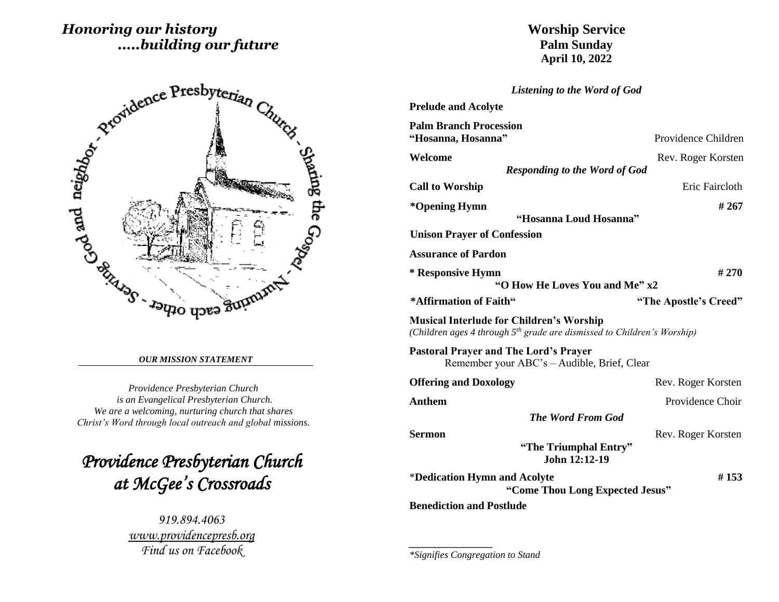# *Honoring our history .....building our future*



#### *OUR MISSION STATEMENT*

*Providence Presbyterian Church is an Evangelical Presbyterian Church. We are a welcoming, nurturing church that shares Christ's Word through local outreach and global missions.*

*Providence Presbyterian Church at McGee's Crossroads* 

> *919.894.4063 [www.providencepresb.org](http://www.providencepresb.org/) Find us on Facebook*

# **Worship Service Palm Sunday April 10, 2022**

*Listening to the Word of God*

| <b>Prelude and Acolyte</b>                                                                                                             |                       |  |
|----------------------------------------------------------------------------------------------------------------------------------------|-----------------------|--|
| <b>Palm Branch Procession</b><br>"Hosanna, Hosanna"                                                                                    | Providence Children   |  |
| Welcome                                                                                                                                | Rev. Roger Korsten    |  |
| <b>Responding to the Word of God</b>                                                                                                   |                       |  |
| <b>Call to Worship</b>                                                                                                                 | Eric Faircloth        |  |
| *Opening Hymn                                                                                                                          | #267                  |  |
| "Hosanna Loud Hosanna"                                                                                                                 |                       |  |
| <b>Unison Prayer of Confession</b>                                                                                                     |                       |  |
| <b>Assurance of Pardon</b>                                                                                                             |                       |  |
| * Responsive Hymn                                                                                                                      | # 270                 |  |
| "O How He Loves You and Me" x2                                                                                                         |                       |  |
| *Affirmation of Faith"                                                                                                                 | "The Apostle's Creed" |  |
|                                                                                                                                        |                       |  |
| <b>Musical Interlude for Children's Worship</b><br>(Children ages 4 through 5 <sup>th</sup> grade are dismissed to Children's Worship) |                       |  |
| <b>Pastoral Prayer and The Lord's Prayer</b><br>Remember your ABC's – Audible, Brief, Clear                                            |                       |  |
| <b>Offering and Doxology</b>                                                                                                           | Rev. Roger Korsten    |  |
| <b>Anthem</b>                                                                                                                          | Providence Choir      |  |
| <b>The Word From God</b>                                                                                                               |                       |  |
| <b>Sermon</b>                                                                                                                          | Rev. Roger Korsten    |  |
| "The Triumphal Entry"<br>John 12:12-19                                                                                                 |                       |  |
| *Dedication Hymn and Acolyte<br>"Come Thou Long Expected Jesus"                                                                        | #153                  |  |

*\_\_\_\_\_\_\_\_\_\_\_\_\_\_\_\_\_*

*<sup>\*</sup>Signifies Congregation to Stand*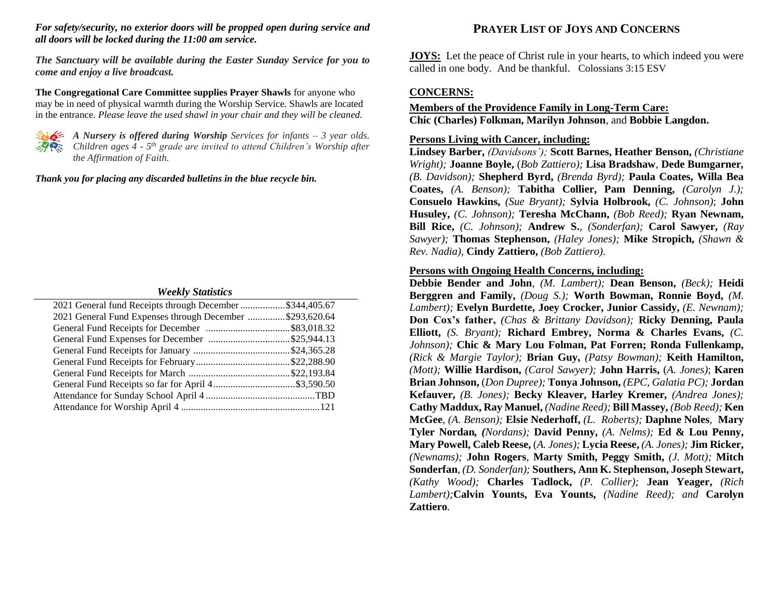#### *For safety/security, no exterior doors will be propped open during service and all doors will be locked during the 11:00 am service.*

*The Sanctuary will be available during the Easter Sunday Service for you to come and enjoy a live broadcast.*

**The Congregational Care Committee supplies Prayer Shawls** for anyone who may be in need of physical warmth during the Worship Service. Shawls are located in the entrance. *Please leave the used shawl in your chair and they will be cleaned.*



*A Nursery is offered during Worship Services for infants – 3 year olds. Children ages 4 - 5 th grade are invited to attend Children's Worship after the Affirmation of Faith.*

*Thank you for placing any discarded bulletins in the blue recycle bin.*

#### *Weekly Statistics*

| 2021 General fund Receipts through December \$344,405.67 |  |
|----------------------------------------------------------|--|
| 2021 General Fund Expenses through December \$293,620.64 |  |
|                                                          |  |
|                                                          |  |
|                                                          |  |
|                                                          |  |
|                                                          |  |
|                                                          |  |
|                                                          |  |
|                                                          |  |

# **PRAYER LIST OF JOYS AND CONCERNS**

**JOYS:** Let the peace of Christ rule in your hearts, to which indeed you were called in one body. And be thankful. Colossians 3:15 ESV

## **CONCERNS:**

## **Members of the Providence Family in Long-Term Care: Chic (Charles) Folkman, Marilyn Johnson**, and **Bobbie Langdon.**

## **Persons Living with Cancer, including:**

**Lindsey Barber,** *(Davidsons');* **Scott Barnes, Heather Benson,** *(Christiane Wright);* **Joanne Boyle,** (*Bob Zattiero);* **Lisa Bradshaw***,* **Dede Bumgarner***, (B. Davidson);* **Shepherd Byrd,** *(Brenda Byrd);* **Paula Coates, Willa Bea Coates,** *(A. Benson);* **Tabitha Collier, Pam Denning,** *(Carolyn J.);* **Consuelo Hawkins,** *(Sue Bryant);* **Sylvia Holbrook,** *(C. Johnson)*; **John Husuley,** *(C. Johnson);* **Teresha McChann,** *(Bob Reed);* **Ryan Newnam, Bill Rice,** *(C. Johnson);* **Andrew S.**, *(Sonderfan);* **Carol Sawyer,** *(Ray Sawyer);* **Thomas Stephenson,** *(Haley Jones);* **Mike Stropich,** *(Shawn & Rev. Nadia),* **Cindy Zattiero,** *(Bob Zattiero).*

### **Persons with Ongoing Health Concerns, including:**

**Debbie Bender and John***, (M. Lambert);* **Dean Benson,** *(Beck);* **Heidi Berggren and Family,** *(Doug S.);* **Worth Bowman, Ronnie Boyd,** *(M. Lambert);* **Evelyn Burdette, Joey Crocker, Junior Cassidy,** *(E. Newnam);* **Don Cox's father,** *(Chas & Brittany Davidson);* **Ricky Denning, Paula Elliott,** *(S. Bryant);* **Richard Embrey, Norma & Charles Evans,** *(C. Johnson);* **Chic & Mary Lou Folman, Pat Forren; Ronda Fullenkamp,**  *(Rick & Margie Taylor);* **Brian Guy,** *(Patsy Bowman);* **Keith Hamilton,** *(Mott);* **Willie Hardison,** *(Carol Sawyer);* **John Harris,** (*A. Jones)*; **Karen Brian Johnson,** (*Don Dupree);* **Tonya Johnson,** *(EPC, Galatia PC);* **Jordan Kefauver,** *(B. Jones);* **Becky Kleaver, Harley Kremer***, (Andrea Jones);*  **Cathy Maddux, Ray Manuel,** *(Nadine Reed);* **Bill Massey,** *(Bob Reed);* **Ken McGee***, (A. Benson);* **Elsie Nederhoff,** *(L. Roberts);* **Daphne Noles***,* **Mary Tyler Nordan***, (Nordans);* **David Penny,** *(A. Nelms);* **Ed & Lou Penny, Mary Powell, Caleb Reese,** (*A. Jones);* **Lycia Reese,** *(A. Jones);* **Jim Ricker,** *(Newnams);* **John Rogers***,* **Marty Smith, Peggy Smith,** *(J. Mott);* **Mitch Sonderfan***, (D. Sonderfan);* **Southers, Ann K. Stephenson, Joseph Stewart,**  *(Kathy Wood);* **Charles Tadlock,** *(P. Collier);* **Jean Yeager,** *(Rich Lambert);***Calvin Younts, Eva Younts,** *(Nadine Reed); and* **Carolyn Zattiero***.*